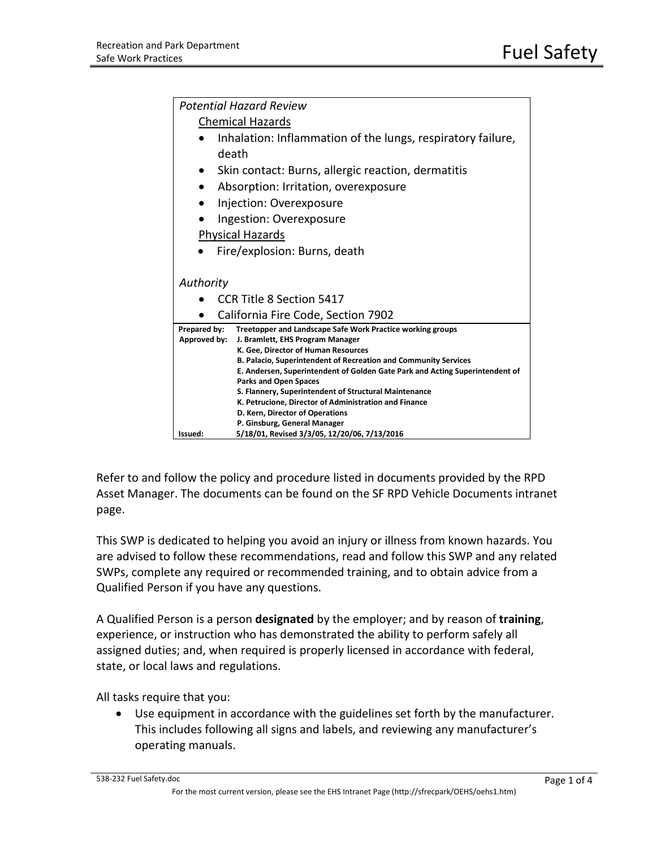| <b>Potential Hazard Review</b>                                                                               |
|--------------------------------------------------------------------------------------------------------------|
| <b>Chemical Hazards</b>                                                                                      |
| Inhalation: Inflammation of the lungs, respiratory failure,                                                  |
| death                                                                                                        |
| Skin contact: Burns, allergic reaction, dermatitis                                                           |
| Absorption: Irritation, overexposure<br>$\bullet$                                                            |
| Injection: Overexposure<br>D                                                                                 |
| Ingestion: Overexposure                                                                                      |
| <b>Physical Hazards</b>                                                                                      |
| Fire/explosion: Burns, death                                                                                 |
|                                                                                                              |
| Authority                                                                                                    |
| CCR Title 8 Section 5417                                                                                     |
| California Fire Code, Section 7902                                                                           |
| Treetopper and Landscape Safe Work Practice working groups<br>Prepared by:                                   |
| Approved by:<br>J. Bramlett, EHS Program Manager                                                             |
| K. Gee, Director of Human Resources                                                                          |
| B. Palacio, Superintendent of Recreation and Community Services                                              |
| E. Andersen, Superintendent of Golden Gate Park and Acting Superintendent of<br><b>Parks and Open Spaces</b> |
| S. Flannery, Superintendent of Structural Maintenance                                                        |
| K. Petrucione, Director of Administration and Finance                                                        |
| D. Kern, Director of Operations                                                                              |
| P. Ginsburg, General Manager                                                                                 |
| 5/18/01, Revised 3/3/05, 12/20/06, 7/13/2016<br>Issued:                                                      |

Refer to and follow the policy and procedure listed in documents provided by the RPD Asset Manager. The documents can be found on the SF RPD Vehicle Documents intranet page.

This SWP is dedicated to helping you avoid an injury or illness from known hazards. You are advised to follow these recommendations, read and follow this SWP and any related SWPs, complete any required or recommended training, and to obtain advice from a Qualified Person if you have any questions.

A Qualified Person is a person **designated** by the employer; and by reason of **training**, experience, or instruction who has demonstrated the ability to perform safely all assigned duties; and, when required is properly licensed in accordance with federal, state, or local laws and regulations.

All tasks require that you:

• Use equipment in accordance with the guidelines set forth by the manufacturer. This includes following all signs and labels, and reviewing any manufacturer's operating manuals.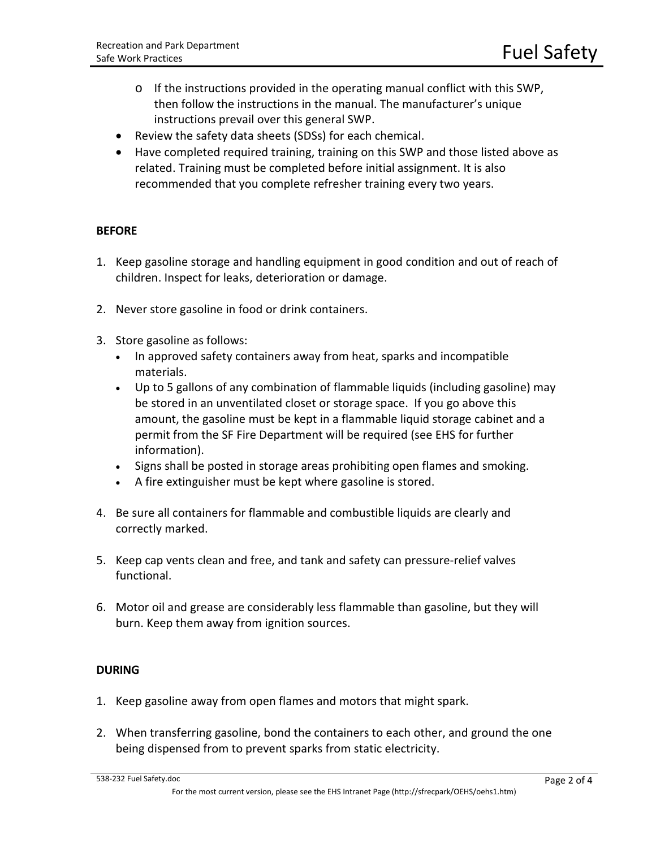- o If the instructions provided in the operating manual conflict with this SWP, then follow the instructions in the manual. The manufacturer's unique instructions prevail over this general SWP.
- Review the safety data sheets (SDSs) for each chemical.
- Have completed required training, training on this SWP and those listed above as related. Training must be completed before initial assignment. It is also recommended that you complete refresher training every two years.

## **BEFORE**

- 1. Keep gasoline storage and handling equipment in good condition and out of reach of children. Inspect for leaks, deterioration or damage.
- 2. Never store gasoline in food or drink containers.
- 3. Store gasoline as follows:
	- In approved safety containers away from heat, sparks and incompatible materials.
	- Up to 5 gallons of any combination of flammable liquids (including gasoline) may be stored in an unventilated closet or storage space. If you go above this amount, the gasoline must be kept in a flammable liquid storage cabinet and a permit from the SF Fire Department will be required (see EHS for further information).
	- Signs shall be posted in storage areas prohibiting open flames and smoking.
	- A fire extinguisher must be kept where gasoline is stored.
- 4. Be sure all containers for flammable and combustible liquids are clearly and correctly marked.
- 5. Keep cap vents clean and free, and tank and safety can pressure-relief valves functional.
- 6. Motor oil and grease are considerably less flammable than gasoline, but they will burn. Keep them away from ignition sources.

## **DURING**

- 1. Keep gasoline away from open flames and motors that might spark.
- 2. When transferring gasoline, bond the containers to each other, and ground the one being dispensed from to prevent sparks from static electricity.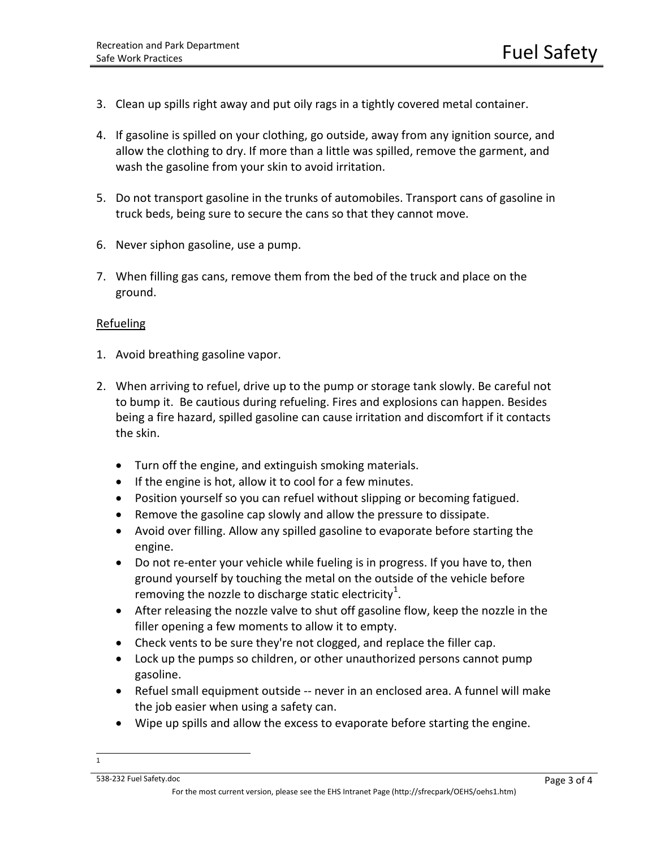- 3. Clean up spills right away and put oily rags in a tightly covered metal container.
- 4. If gasoline is spilled on your clothing, go outside, away from any ignition source, and allow the clothing to dry. If more than a little was spilled, remove the garment, and wash the gasoline from your skin to avoid irritation.
- 5. Do not transport gasoline in the trunks of automobiles. Transport cans of gasoline in truck beds, being sure to secure the cans so that they cannot move.
- 6. Never siphon gasoline, use a pump.
- 7. When filling gas cans, remove them from the bed of the truck and place on the ground.

## Refueling

- 1. Avoid breathing gasoline vapor.
- 2. When arriving to refuel, drive up to the pump or storage tank slowly. Be careful not to bump it. Be cautious during refueling. Fires and explosions can happen. Besides being a fire hazard, spilled gasoline can cause irritation and discomfort if it contacts the skin.
	- Turn off the engine, and extinguish smoking materials.
	- If the engine is hot, allow it to cool for a few minutes.
	- Position yourself so you can refuel without slipping or becoming fatigued.
	- Remove the gasoline cap slowly and allow the pressure to dissipate.
	- Avoid over filling. Allow any spilled gasoline to evaporate before starting the engine.
	- Do not re-enter your vehicle while fueling is in progress. If you have to, then ground yourself by touching the metal on the outside of the vehicle before removing the nozzle to discharge static electricity<sup>[1](#page-2-0)</sup>.
	- After releasing the nozzle valve to shut off gasoline flow, keep the nozzle in the filler opening a few moments to allow it to empty.
	- Check vents to be sure they're not clogged, and replace the filler cap.
	- Lock up the pumps so children, or other unauthorized persons cannot pump gasoline.
	- Refuel small equipment outside -- never in an enclosed area. A funnel will make the job easier when using a safety can.
	- Wipe up spills and allow the excess to evaporate before starting the engine.

<span id="page-2-0"></span> $\overline{1}$